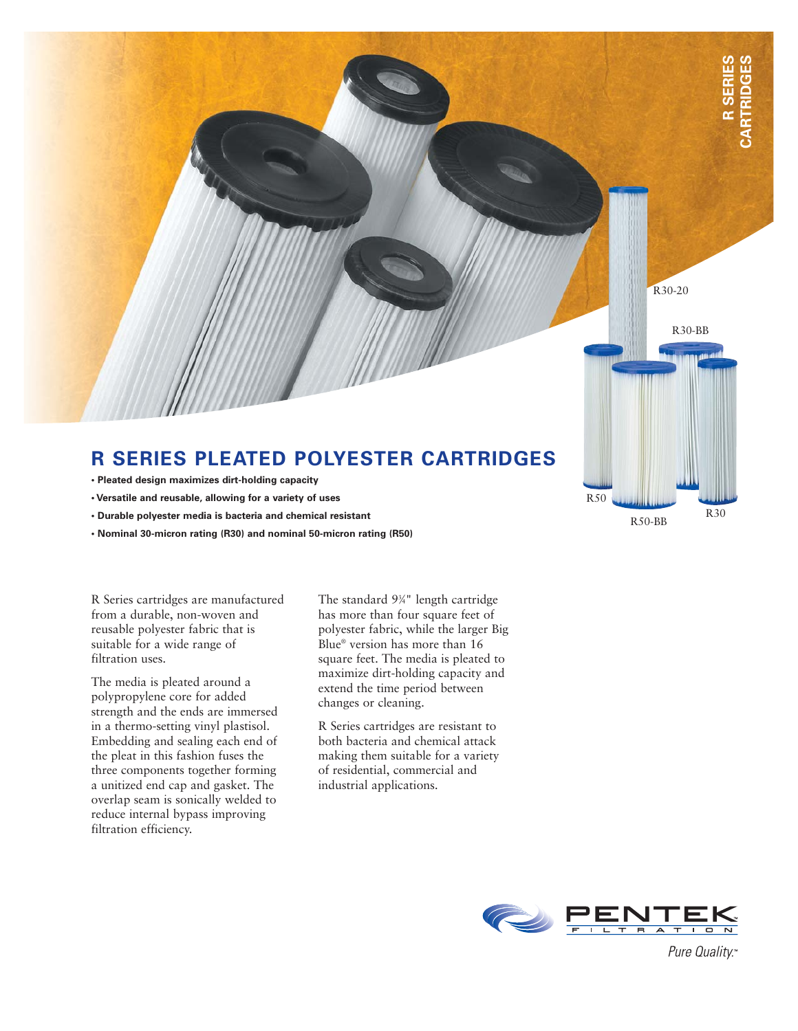

## **R SERIES PLEATED POLYESTER CARTRIDGES**

- **Pleated design maximizes dirt-holding capacity**
- **Versatile and reusable, allowing for a variety of uses**
- **Durable polyester media is bacteria and chemical resistant**
- **Nominal 30-micron rating (R30) and nominal 50-micron rating (R50)**

R Series cartridges are manufactured from a durable, non-woven and reusable polyester fabric that is suitable for a wide range of filtration uses.

The media is pleated around a polypropylene core for added strength and the ends are immersed in a thermo-setting vinyl plastisol. Embedding and sealing each end of the pleat in this fashion fuses the three components together forming a unitized end cap and gasket. The overlap seam is sonically welded to reduce internal bypass improving filtration efficiency.

The standard 93 ⁄4" length cartridge has more than four square feet of polyester fabric, while the larger Big Blue® version has more than 16 square feet. The media is pleated to maximize dirt-holding capacity and extend the time period between changes or cleaning.

R Series cartridges are resistant to both bacteria and chemical attack making them suitable for a variety of residential, commercial and industrial applications.



R50

R50-BB

R30

Pure Quality.™